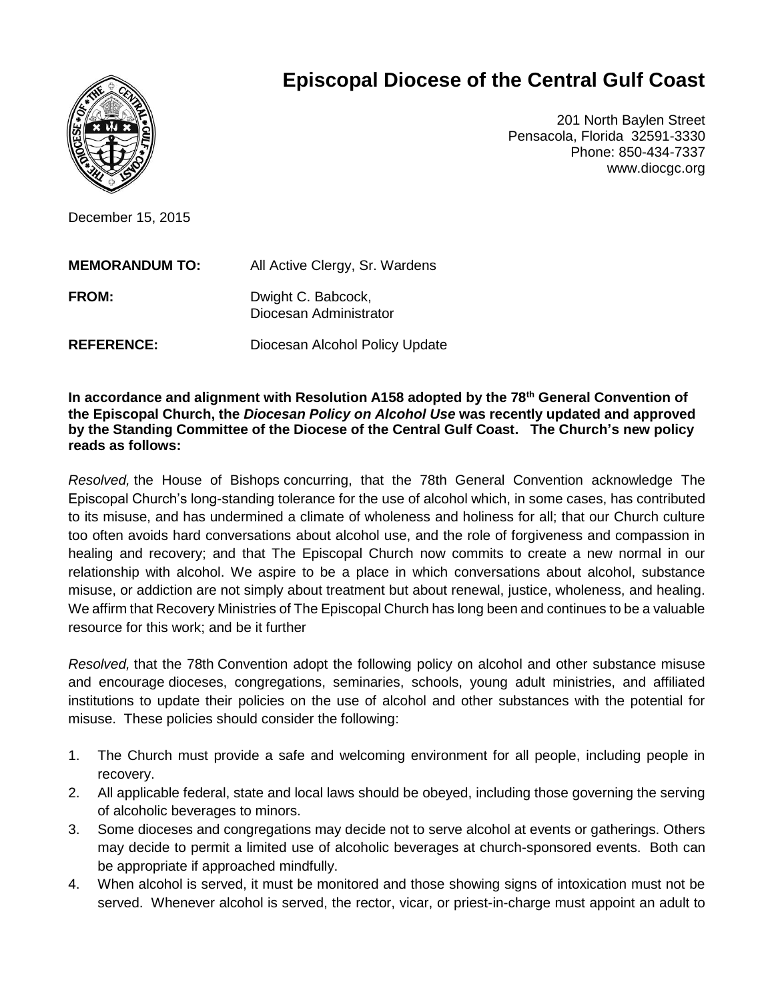

## **Episcopal Diocese of the Central Gulf Coast**

201 North Baylen Street Pensacola, Florida 32591-3330 Phone: 850-434-7337 www.diocgc.org

December 15, 2015

| <b>MEMORANDUM TO:</b> | All Active Clergy, Sr. Wardens               |
|-----------------------|----------------------------------------------|
| <b>FROM:</b>          | Dwight C. Babcock,<br>Diocesan Administrator |
| <b>REFERENCE:</b>     | Diocesan Alcohol Policy Update               |

**In accordance and alignment with Resolution A158 adopted by the 78th General Convention of the Episcopal Church, the** *Diocesan Policy on Alcohol Use* **was recently updated and approved by the Standing Committee of the Diocese of the Central Gulf Coast. The Church's new policy reads as follows:**

*Resolved,* the House of Bishops concurring, that the 78th General Convention acknowledge The Episcopal Church's long-standing tolerance for the use of alcohol which, in some cases, has contributed to its misuse, and has undermined a climate of wholeness and holiness for all; that our Church culture too often avoids hard conversations about alcohol use, and the role of forgiveness and compassion in healing and recovery; and that The Episcopal Church now commits to create a new normal in our relationship with alcohol. We aspire to be a place in which conversations about alcohol, substance misuse, or addiction are not simply about treatment but about renewal, justice, wholeness, and healing. We affirm that Recovery Ministries of The Episcopal Church has long been and continues to be a valuable resource for this work; and be it further

*Resolved,* that the 78th Convention adopt the following policy on alcohol and other substance misuse and encourage dioceses, congregations, seminaries, schools, young adult ministries, and affiliated institutions to update their policies on the use of alcohol and other substances with the potential for misuse. These policies should consider the following:

- 1. The Church must provide a safe and welcoming environment for all people, including people in recovery.
- 2. All applicable federal, state and local laws should be obeyed, including those governing the serving of alcoholic beverages to minors.
- 3. Some dioceses and congregations may decide not to serve alcohol at events or gatherings. Others may decide to permit a limited use of alcoholic beverages at church-sponsored events. Both can be appropriate if approached mindfully.
- 4. When alcohol is served, it must be monitored and those showing signs of intoxication must not be served. Whenever alcohol is served, the rector, vicar, or priest-in-charge must appoint an adult to